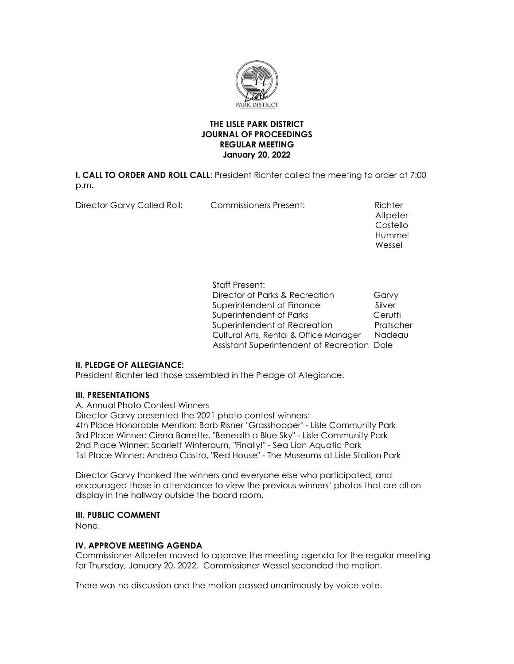

# **THE LISLE PARK DISTRICT JOURNAL OF PROCEEDINGS REGULAR MEETING January 20, 2022**

**I. CALL TO ORDER AND ROLL CALL**: President Richter called the meeting to order at 7:00 p.m.

Director Garvy Called Roll: Commissioners Present: Richter

**Altpeter Costello** Costello Costello Costello Costello Costello Costello Costello Costello Costello Costello Costello Costello Hummel and the control of the control of the control of the control of the control of the control of the control of the control of the control of the control of the control of the control of the control of the control of t Wessel

> Staff Present: Director of Parks & Recreation Garvy Superintendent of Finance Silver Superintendent of Parks **Cerutti** Superintendent of Recreation Pratscher Cultural Arts, Rental & Office Manager Nadeau Assistant Superintendent of Recreation Dale

# **II. PLEDGE OF ALLEGIANCE:**

President Richter led those assembled in the Pledge of Allegiance.

# **III. PRESENTATIONS**

A. Annual Photo Contest Winners Director Garvy presented the 2021 photo contest winners: 4th Place Honorable Mention: Barb Risner "Grasshopper" - Lisle Community Park 3rd Place Winner: Cierra Barrette, "Beneath a Blue Sky" - Lisle Community Park 2nd Place Winner: Scarlett Winterburn, "Finally!" - Sea Lion Aquatic Park 1st Place Winner: Andrea Castro, "Red House" - The Museums at Lisle Station Park

Director Garvy thanked the winners and everyone else who participated, and encouraged those in attendance to view the previous winners' photos that are all on display in the hallway outside the board room.

# **III. PUBLIC COMMENT**

None.

# **IV. APPROVE MEETING AGENDA**

Commissioner Altpeter moved to approve the meeting agenda for the regular meeting for Thursday, January 20, 2022. Commissioner Wessel seconded the motion.

There was no discussion and the motion passed unanimously by voice vote.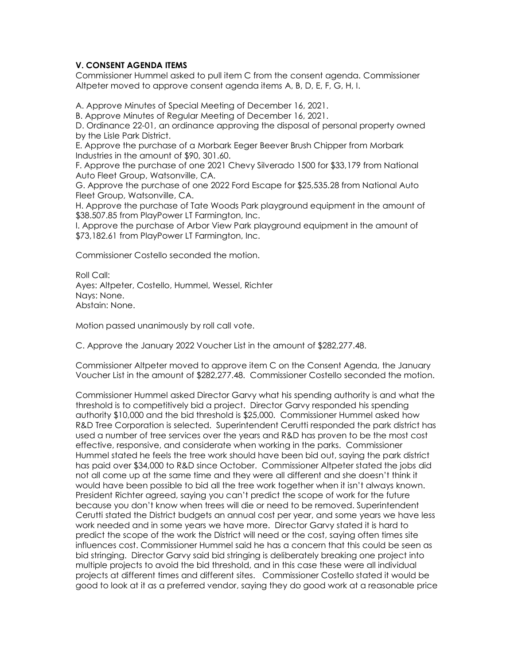# **V. CONSENT AGENDA ITEMS**

Commissioner Hummel asked to pull item C from the consent agenda. Commissioner Altpeter moved to approve consent agenda items A, B, D, E, F, G, H, I.

A. Approve Minutes of Special Meeting of December 16, 2021.

B. Approve Minutes of Regular Meeting of December 16, 2021.

D. Ordinance 22-01, an ordinance approving the disposal of personal property owned by the Lisle Park District.

E. Approve the purchase of a Morbark Eeger Beever Brush Chipper from Morbark Industries in the amount of \$90, 301.60.

F. Approve the purchase of one 2021 Chevy Silverado 1500 for \$33,179 from National Auto Fleet Group, Watsonville, CA.

G. Approve the purchase of one 2022 Ford Escape for \$25,535.28 from National Auto Fleet Group, Watsonville, CA.

H. Approve the purchase of Tate Woods Park playground equipment in the amount of \$38.507.85 from PlayPower LT Farmington, Inc.

I. Approve the purchase of Arbor View Park playground equipment in the amount of \$73,182.61 from PlayPower LT Farmington, Inc.

Commissioner Costello seconded the motion.

Roll Call: Ayes: Altpeter, Costello, Hummel, Wessel, Richter Nays: None. Abstain: None.

Motion passed unanimously by roll call vote.

C. Approve the January 2022 Voucher List in the amount of \$282,277.48.

Commissioner Altpeter moved to approve item C on the Consent Agenda, the January Voucher List in the amount of \$282,277.48. Commissioner Costello seconded the motion.

Commissioner Hummel asked Director Garvy what his spending authority is and what the threshold is to competitively bid a project. Director Garvy responded his spending authority \$10,000 and the bid threshold is \$25,000. Commissioner Hummel asked how R&D Tree Corporation is selected. Superintendent Cerutti responded the park district has used a number of tree services over the years and R&D has proven to be the most cost effective, responsive, and considerate when working in the parks. Commissioner Hummel stated he feels the tree work should have been bid out, saying the park district has paid over \$34,000 to R&D since October. Commissioner Altpeter stated the jobs did not all come up at the same time and they were all different and she doesn't think it would have been possible to bid all the tree work together when it isn't always known. President Richter agreed, saying you can't predict the scope of work for the future because you don't know when trees will die or need to be removed. Superintendent Cerutti stated the District budgets an annual cost per year, and some years we have less work needed and in some years we have more. Director Garvy stated it is hard to predict the scope of the work the District will need or the cost, saying often times site influences cost. Commissioner Hummel said he has a concern that this could be seen as bid stringing. Director Garvy said bid stringing is deliberately breaking one project into multiple projects to avoid the bid threshold, and in this case these were all individual projects at different times and different sites. Commissioner Costello stated it would be good to look at it as a preferred vendor, saying they do good work at a reasonable price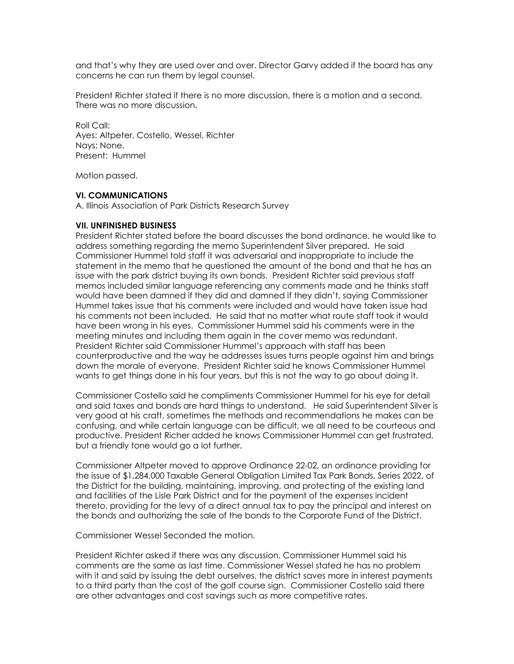and that's why they are used over and over. Director Garvy added if the board has any concerns he can run them by legal counsel.

President Richter stated if there is no more discussion, there is a motion and a second. There was no more discussion.

Roll Call: Ayes: Altpeter, Costello, Wessel, Richter Nays: None. Present: Hummel

Motion passed.

#### **VI. COMMUNICATIONS**

A. Illinois Association of Park Districts Research Survey

#### **VII. UNFINISHED BUSINESS**

President Richter stated before the board discusses the bond ordinance, he would like to address something regarding the memo Superintendent Silver prepared. He said Commissioner Hummel told staff it was adversarial and inappropriate to include the statement in the memo that he questioned the amount of the bond and that he has an issue with the park district buying its own bonds. President Richter said previous staff memos included similar language referencing any comments made and he thinks staff would have been damned if they did and damned if they didn't, saying Commissioner Hummel takes issue that his comments were included and would have taken issue had his comments not been included. He said that no matter what route staff took it would have been wrong in his eyes. Commissioner Hummel said his comments were in the meeting minutes and including them again in the cover memo was redundant. President Richter said Commissioner Hummel's approach with staff has been counterproductive and the way he addresses issues turns people against him and brings down the morale of everyone. President Richter said he knows Commissioner Hummel wants to get things done in his four years, but this is not the way to go about doing it.

Commissioner Costello said he compliments Commissioner Hummel for his eye for detail and said taxes and bonds are hard things to understand. He said Superintendent Silver is very good at his craft, sometimes the methods and recommendations he makes can be confusing, and while certain language can be difficult, we all need to be courteous and productive. President Richer added he knows Commissioner Hummel can get frustrated, but a friendly tone would go a lot further.

Commissioner Altpeter moved to approve Ordinance 22-02, an ordinance providing for the issue of \$1,284,000 Taxable General Obligation Limited Tax Park Bonds, Series 2022, of the District for the building, maintaining, improving, and protecting of the existing land and facilities of the Lisle Park District and for the payment of the expenses incident thereto, providing for the levy of a direct annual tax to pay the principal and interest on the bonds and authorizing the sale of the bonds to the Corporate Fund of the District.

Commissioner Wessel Seconded the motion.

President Richter asked if there was any discussion. Commissioner Hummel said his comments are the same as last time. Commissioner Wessel stated he has no problem with it and said by issuing the debt ourselves, the district saves more in interest payments to a third party than the cost of the golf course sign. Commissioner Costello said there are other advantages and cost savings such as more competitive rates.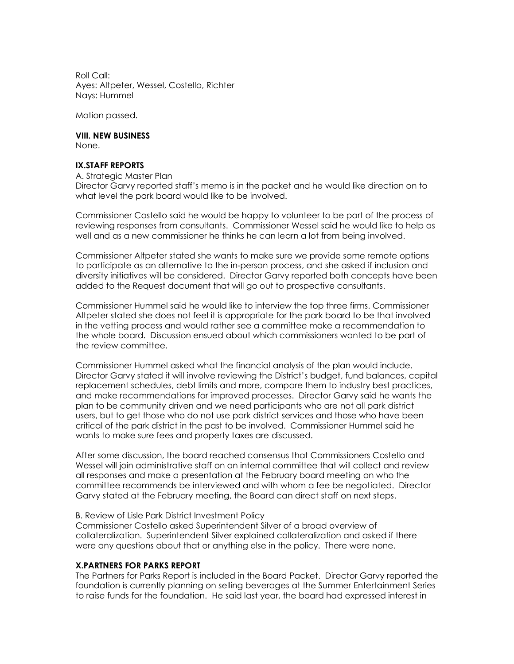Roll Call: Ayes: Altpeter, Wessel, Costello, Richter Nays: Hummel

Motion passed.

**VIII. NEW BUSINESS** None.

# **IX.STAFF REPORTS**

A. Strategic Master Plan Director Garvy reported staff's memo is in the packet and he would like direction on to what level the park board would like to be involved.

Commissioner Costello said he would be happy to volunteer to be part of the process of reviewing responses from consultants. Commissioner Wessel said he would like to help as well and as a new commissioner he thinks he can learn a lot from being involved.

Commissioner Altpeter stated she wants to make sure we provide some remote options to participate as an alternative to the in-person process, and she asked if inclusion and diversity initiatives will be considered. Director Garvy reported both concepts have been added to the Request document that will go out to prospective consultants.

Commissioner Hummel said he would like to interview the top three firms. Commissioner Altpeter stated she does not feel it is appropriate for the park board to be that involved in the vetting process and would rather see a committee make a recommendation to the whole board. Discussion ensued about which commissioners wanted to be part of the review committee.

Commissioner Hummel asked what the financial analysis of the plan would include. Director Garvy stated it will involve reviewing the District's budget, fund balances, capital replacement schedules, debt limits and more, compare them to industry best practices, and make recommendations for improved processes. Director Garvy said he wants the plan to be community driven and we need participants who are not all park district users, but to get those who do not use park district services and those who have been critical of the park district in the past to be involved. Commissioner Hummel said he wants to make sure fees and property taxes are discussed.

After some discussion, the board reached consensus that Commissioners Costello and Wessel will join administrative staff on an internal committee that will collect and review all responses and make a presentation at the February board meeting on who the committee recommends be interviewed and with whom a fee be negotiated. Director Garvy stated at the February meeting, the Board can direct staff on next steps.

#### B. Review of Lisle Park District Investment Policy

Commissioner Costello asked Superintendent Silver of a broad overview of collateralization. Superintendent Silver explained collateralization and asked if there were any questions about that or anything else in the policy. There were none.

#### **X.PARTNERS FOR PARKS REPORT**

The Partners for Parks Report is included in the Board Packet. Director Garvy reported the foundation is currently planning on selling beverages at the Summer Entertainment Series to raise funds for the foundation. He said last year, the board had expressed interest in